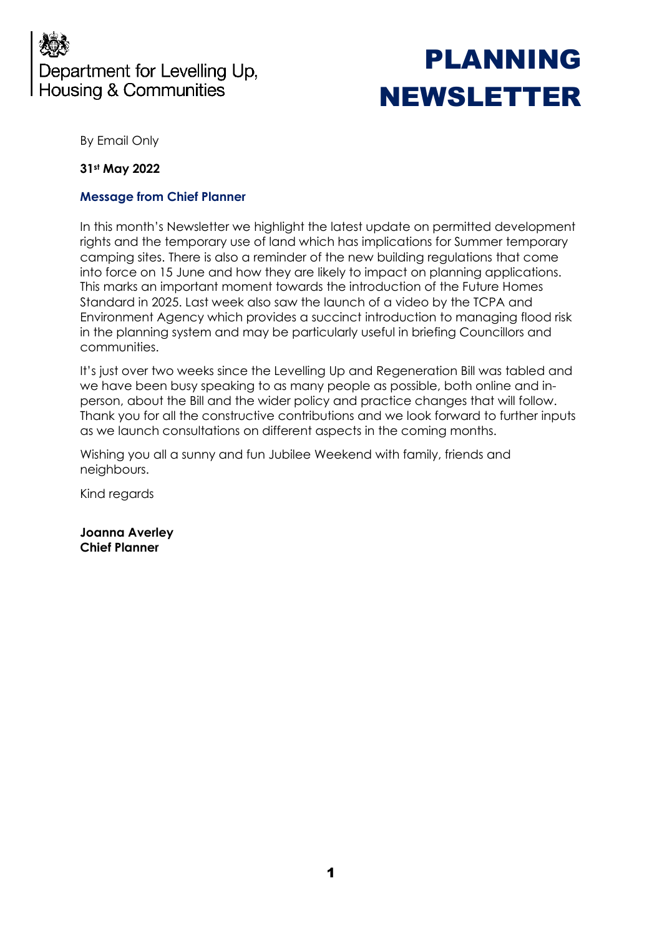## Department for Levelling Up, **Housing & Communities**

# PLANNING NEWSLETTER

By Email Only

#### **31st May 2022**

#### **Message from Chief Planner**

In this month's Newsletter we highlight the latest update on permitted development rights and the temporary use of land which has implications for Summer temporary camping sites. There is also a reminder of the new building regulations that come into force on 15 June and how they are likely to impact on planning applications. This marks an important moment towards the introduction of the Future Homes Standard in 2025. Last week also saw the launch of a video by the TCPA and Environment Agency which provides a succinct introduction to managing flood risk in the planning system and may be particularly useful in briefing Councillors and communities.

It's just over two weeks since the Levelling Up and Regeneration Bill was tabled and we have been busy speaking to as many people as possible, both online and inperson, about the Bill and the wider policy and practice changes that will follow. Thank you for all the constructive contributions and we look forward to further inputs as we launch consultations on different aspects in the coming months.

Wishing you all a sunny and fun Jubilee Weekend with family, friends and neighbours.

Kind regards

**Joanna Averley Chief Planner**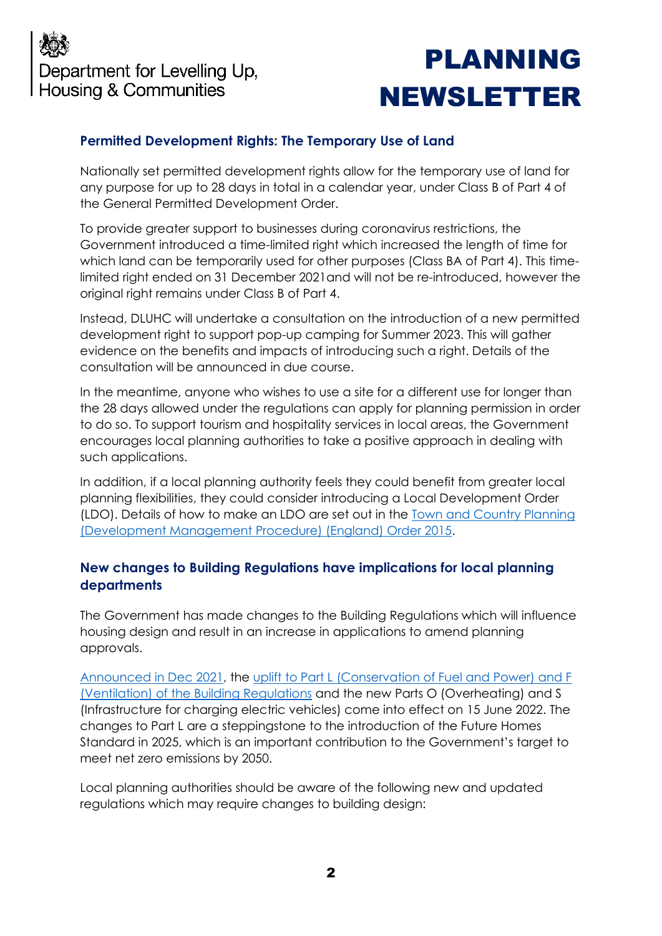

# PLANNING NEWSLETTER

### **Permitted Development Rights: The Temporary Use of Land**

Nationally set permitted development rights allow for the temporary use of land for any purpose for up to 28 days in total in a calendar year, under Class B of Part 4 of the General Permitted Development Order.

To provide greater support to businesses during coronavirus restrictions, the Government introduced a time-limited right which increased the length of time for which land can be temporarily used for other purposes (Class BA of Part 4). This timelimited right ended on 31 December 2021and will not be re-introduced, however the original right remains under Class B of Part 4.

Instead, DLUHC will undertake a consultation on the introduction of a new permitted development right to support pop-up camping for Summer 2023. This will gather evidence on the benefits and impacts of introducing such a right. Details of the consultation will be announced in due course.

In the meantime, anyone who wishes to use a site for a different use for longer than the 28 days allowed under the regulations can apply for planning permission in order to do so. To support tourism and hospitality services in local areas, the Government encourages local planning authorities to take a positive approach in dealing with such applications.

In addition, if a local planning authority feels they could benefit from greater local planning flexibilities, they could consider introducing a Local Development Order (LDO). Details of how to make an LDO are set out in the **Town and Country Planning** [\(Development Management Procedure\) \(England\) Order 2015.](https://www.legislation.gov.uk/uksi/2015/595/contents/made)

#### **New changes to Building Regulations have implications for local planning departments**

The Government has made changes to the Building Regulations which will influence housing design and result in an increase in applications to amend planning approvals.

[Announced in Dec 2021,](https://www.gov.uk/government/news/new-homes-to-produce-nearly-a-third-less-carbon) the [uplift to Part L \(Conservation of Fuel and Power\) and F](https://www.gov.uk/government/publications/building-amendment-regulations-2021-circular-012021)  [\(Ventilation\) of the Building Regulations](https://www.gov.uk/government/publications/building-amendment-regulations-2021-circular-012021) and the new Parts O (Overheating) and S (Infrastructure for charging electric vehicles) come into effect on 15 June 2022. The changes to Part L are a steppingstone to the introduction of the Future Homes Standard in 2025, which is an important contribution to the Government's target to meet net zero emissions by 2050.

Local planning authorities should be aware of the following new and updated regulations which may require changes to building design: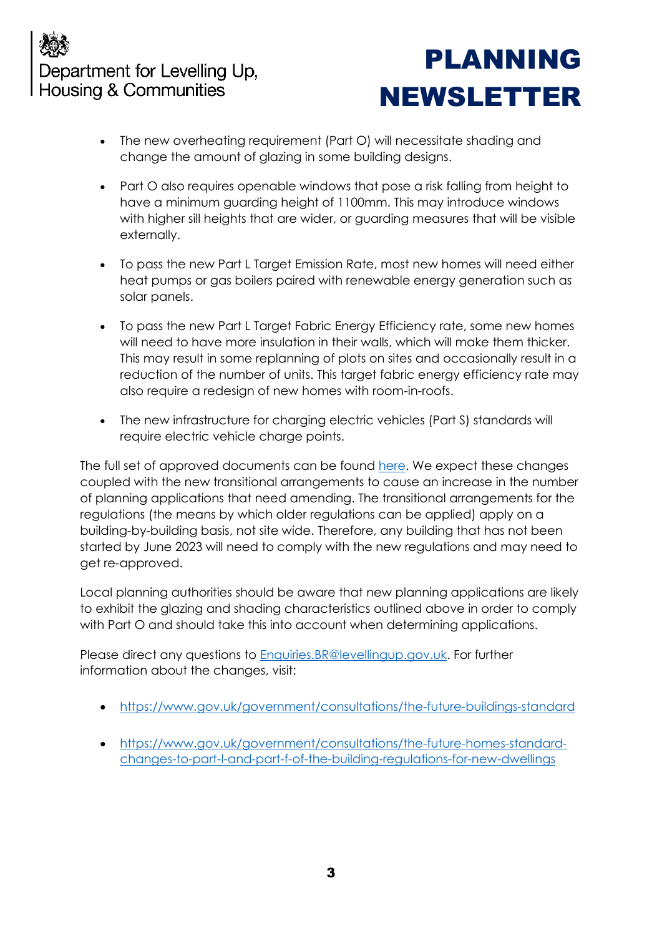## Department for Levelling Up, **Housing & Communities**

## PLANNING NEWSLETTER

- The new overheating requirement (Part O) will necessitate shading and change the amount of glazing in some building designs.
- Part O also requires openable windows that pose a risk falling from height to have a minimum guarding height of 1100mm. This may introduce windows with higher sill heights that are wider, or guarding measures that will be visible externally.
- To pass the new Part L Target Emission Rate, most new homes will need either heat pumps or gas boilers paired with renewable energy generation such as solar panels.
- To pass the new Part L Target Fabric Energy Efficiency rate, some new homes will need to have more insulation in their walls, which will make them thicker. This may result in some replanning of plots on sites and occasionally result in a reduction of the number of units. This target fabric energy efficiency rate may also require a redesign of new homes with room-in-roofs.
- The new infrastructure for charging electric vehicles (Part S) standards will require electric vehicle charge points.

The full set of approved documents can be found [here.](https://www.gov.uk/government/collections/approved-documents) We expect these changes coupled with the new transitional arrangements to cause an increase in the number of planning applications that need amending. The transitional arrangements for the regulations (the means by which older regulations can be applied) apply on a building-by-building basis, not site wide. Therefore, any building that has not been started by June 2023 will need to comply with the new regulations and may need to get re-approved.

Local planning authorities should be aware that new planning applications are likely to exhibit the glazing and shading characteristics outlined above in order to comply with Part O and should take this into account when determining applications.

Please direct any questions to [Enquiries.BR@levellingup.gov.uk.](mailto:Enquiries.BR@levellingup.gov.uk) For further information about the changes, visit:

- <https://www.gov.uk/government/consultations/the-future-buildings-standard>
- [https://www.gov.uk/government/consultations/the-future-homes-standard](https://www.gov.uk/government/consultations/the-future-homes-standard-changes-to-part-l-and-part-f-of-the-building-regulations-for-new-dwellings)[changes-to-part-l-and-part-f-of-the-building-regulations-for-new-dwellings](https://www.gov.uk/government/consultations/the-future-homes-standard-changes-to-part-l-and-part-f-of-the-building-regulations-for-new-dwellings)